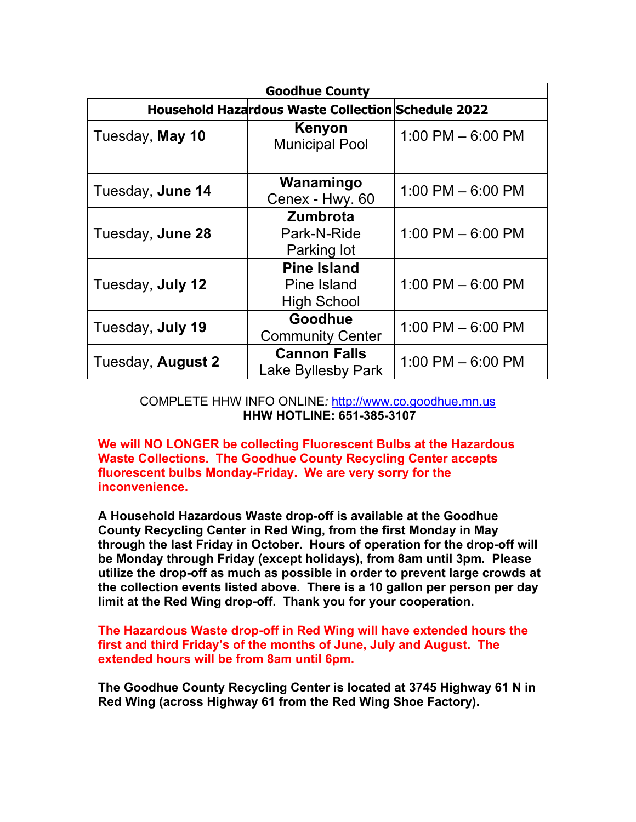| <b>Goodhue County</b>                                     |                                                         |                      |
|-----------------------------------------------------------|---------------------------------------------------------|----------------------|
| <b>Household Hazardous Waste Collection Schedule 2022</b> |                                                         |                      |
| Tuesday, May 10                                           | Kenyon<br><b>Municipal Pool</b>                         | 1:00 PM $-6:00$ PM   |
| Tuesday, June 14                                          | Wanamingo<br>Cenex - Hwy. 60                            | $1:00$ PM $-6:00$ PM |
| Tuesday, June 28                                          | <b>Zumbrota</b><br>Park-N-Ride<br>Parking lot           | $1:00$ PM $-6:00$ PM |
| Tuesday, July 12                                          | <b>Pine Island</b><br>Pine Island<br><b>High School</b> | $1:00$ PM $-6:00$ PM |
| Tuesday, July 19                                          | Goodhue<br><b>Community Center</b>                      | $1:00$ PM $-6:00$ PM |
| Tuesday, <b>August 2</b>                                  | <b>Cannon Falls</b><br><b>Lake Byllesby Park</b>        | $1:00$ PM $-6:00$ PM |

#### COMPLETE HHW INFO ONLINE*:* http://www.co.goodhue.mn.us **HHW HOTLINE: 651-385-3107**

**We will NO LONGER be collecting Fluorescent Bulbs at the Hazardous Waste Collections. The Goodhue County Recycling Center accepts fluorescent bulbs Monday-Friday. We are very sorry for the inconvenience.** 

**A Household Hazardous Waste drop-off is available at the Goodhue County Recycling Center in Red Wing, from the first Monday in May through the last Friday in October. Hours of operation for the drop-off will be Monday through Friday (except holidays), from 8am until 3pm. Please utilize the drop-off as much as possible in order to prevent large crowds at the collection events listed above. There is a 10 gallon per person per day limit at the Red Wing drop-off. Thank you for your cooperation.** 

**The Hazardous Waste drop-off in Red Wing will have extended hours the first and third Friday's of the months of June, July and August. The extended hours will be from 8am until 6pm.** 

**The Goodhue County Recycling Center is located at 3745 Highway 61 N in Red Wing (across Highway 61 from the Red Wing Shoe Factory).**